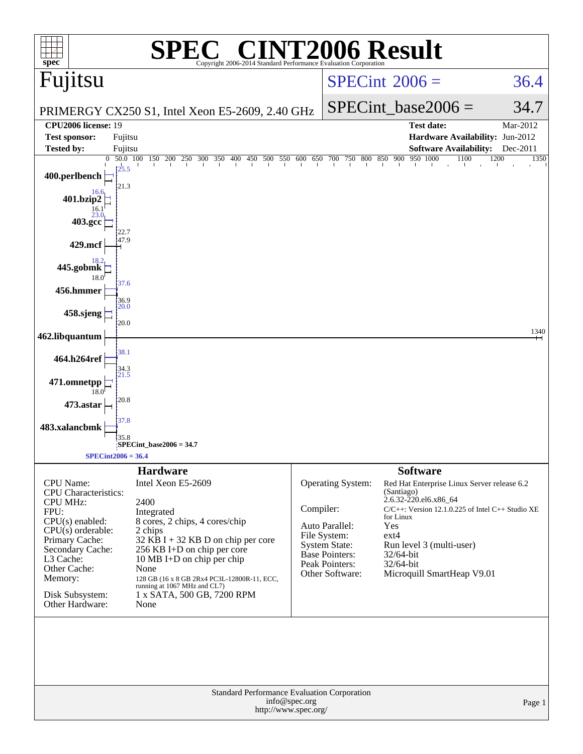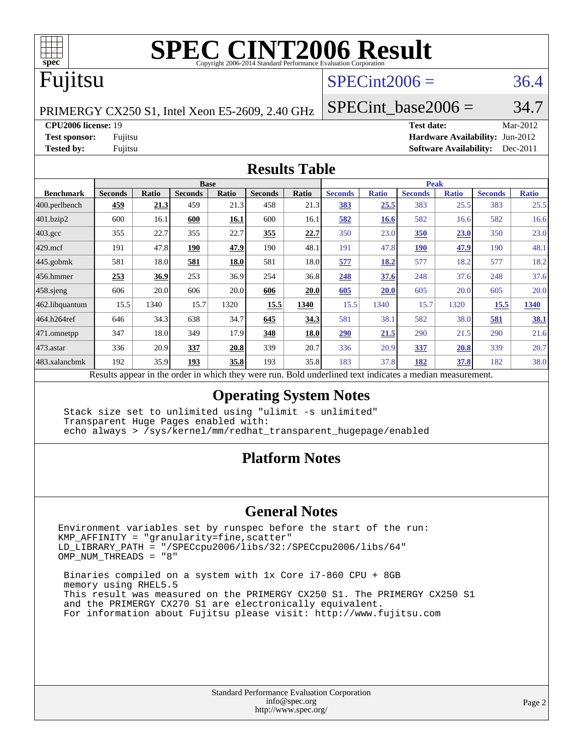

### Fujitsu

#### $SPECint2006 = 36.4$  $SPECint2006 = 36.4$

PRIMERGY CX250 S1, Intel Xeon E5-2609, 2.40 GHz

SPECint base2006 =  $34.7$ 

**[CPU2006 license:](http://www.spec.org/auto/cpu2006/Docs/result-fields.html#CPU2006license)** 19 **[Test date:](http://www.spec.org/auto/cpu2006/Docs/result-fields.html#Testdate)** Mar-2012

**[Test sponsor:](http://www.spec.org/auto/cpu2006/Docs/result-fields.html#Testsponsor)** Fujitsu **[Hardware Availability:](http://www.spec.org/auto/cpu2006/Docs/result-fields.html#HardwareAvailability)** Jun-2012 **[Tested by:](http://www.spec.org/auto/cpu2006/Docs/result-fields.html#Testedby)** Fujitsu **[Software Availability:](http://www.spec.org/auto/cpu2006/Docs/result-fields.html#SoftwareAvailability)** Dec-2011

#### **[Results Table](http://www.spec.org/auto/cpu2006/Docs/result-fields.html#ResultsTable)**

|                    | <b>Base</b>                                                                                              |       |                |       |                |       | <b>Peak</b>    |              |                |              |                |              |  |
|--------------------|----------------------------------------------------------------------------------------------------------|-------|----------------|-------|----------------|-------|----------------|--------------|----------------|--------------|----------------|--------------|--|
| <b>Benchmark</b>   | <b>Seconds</b>                                                                                           | Ratio | <b>Seconds</b> | Ratio | <b>Seconds</b> | Ratio | <b>Seconds</b> | <b>Ratio</b> | <b>Seconds</b> | <b>Ratio</b> | <b>Seconds</b> | <b>Ratio</b> |  |
| $ 400$ .perlbench  | 459                                                                                                      | 21.3  | 459            | 21.3  | 458            | 21.3  | <b>383</b>     | 25.5         | 383            | 25.5         | 383            | 25.5         |  |
| 401.bzip2          | 600                                                                                                      | 16.1  | 600            | 16.1  | 600            | 16.1  | 582            | 16.6         | 582            | 16.6         | 582            | 16.6         |  |
| $403.\mathrm{gcc}$ | 355                                                                                                      | 22.7  | 355            | 22.7  | 355            | 22.7  | 350            | 23.0         | <b>350</b>     | <u>23.0</u>  | 350            | 23.0         |  |
| $429$ .mcf         | 191                                                                                                      | 47.8  | 190            | 47.9  | 190            | 48.1  | 191            | 47.8         | <b>190</b>     | 47.9         | 190            | 48.1         |  |
| $445$ .gobmk       | 581                                                                                                      | 18.0  | 581            | 18.0  | 581            | 18.0  | 577            | 18.2         | 577            | 18.2         | 577            | 18.2         |  |
| 456.hmmer          | 253                                                                                                      | 36.9  | 253            | 36.9  | 254            | 36.8  | 248            | 37.6         | 248            | 37.6         | 248            | 37.6         |  |
| $458$ .sjeng       | 606                                                                                                      | 20.0  | 606            | 20.0  | 606            | 20.0  | 605            | <b>20.0</b>  | 605            | 20.0         | 605            | 20.0         |  |
| 462.libquantum     | 15.5                                                                                                     | 1340  | 15.7           | 1320  | 15.5           | 1340  | 15.5           | 1340         | 15.7           | 1320         | 15.5           | 1340         |  |
| 464.h264ref        | 646                                                                                                      | 34.3  | 638            | 34.7  | 645            | 34.3  | 581            | 38.1         | 582            | 38.0         | 581            | 38.1         |  |
| 471.omnetpp        | 347                                                                                                      | 18.0  | 349            | 17.9  | 348            | 18.0  | 290            | 21.5         | 290            | 21.5         | 290            | 21.6         |  |
| $473.$ astar       | 336                                                                                                      | 20.9  | 337            | 20.8  | 339            | 20.7  | 336            | 20.9         | 337            | 20.8         | 339            | 20.7         |  |
| 483.xalancbmk      | 192                                                                                                      | 35.9  | 193            | 35.8  | 193            | 35.8  | 183            | 37.8         | 182            | 37.8         | 182            | 38.0         |  |
|                    | Results appear in the order in which they were run. Bold underlined text indicates a median measurement. |       |                |       |                |       |                |              |                |              |                |              |  |

#### **[Operating System Notes](http://www.spec.org/auto/cpu2006/Docs/result-fields.html#OperatingSystemNotes)**

 Stack size set to unlimited using "ulimit -s unlimited" Transparent Huge Pages enabled with: echo always > /sys/kernel/mm/redhat\_transparent\_hugepage/enabled

#### **[Platform Notes](http://www.spec.org/auto/cpu2006/Docs/result-fields.html#PlatformNotes)**

#### **[General Notes](http://www.spec.org/auto/cpu2006/Docs/result-fields.html#GeneralNotes)**

Environment variables set by runspec before the start of the run: KMP\_AFFINITY = "granularity=fine,scatter" LD\_LIBRARY\_PATH = "/SPECcpu2006/libs/32:/SPECcpu2006/libs/64" OMP\_NUM\_THREADS = "8"

 Binaries compiled on a system with 1x Core i7-860 CPU + 8GB memory using RHEL5.5 This result was measured on the PRIMERGY CX250 S1. The PRIMERGY CX250 S1 and the PRIMERGY CX270 S1 are electronically equivalent. For information about Fujitsu please visit: <http://www.fujitsu.com>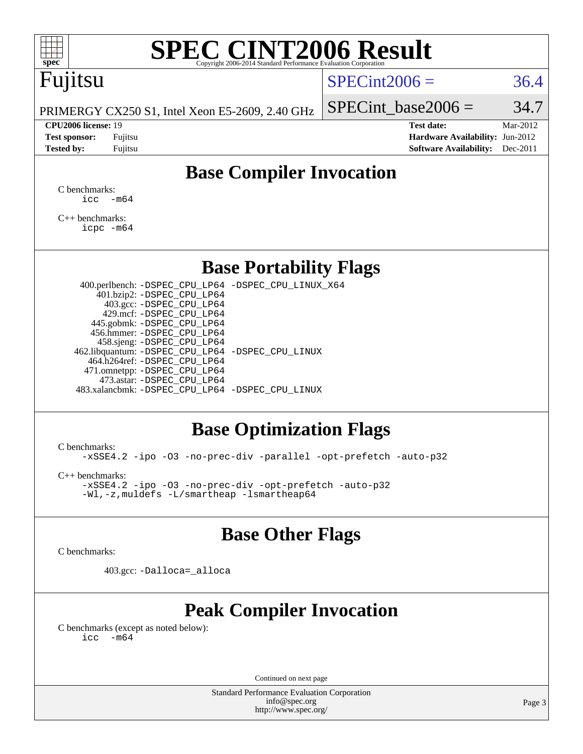

# Fujitsu

#### $SPECint2006 = 36.4$  $SPECint2006 = 36.4$

PRIMERGY CX250 S1, Intel Xeon E5-2609, 2.40 GHz

#### **[CPU2006 license:](http://www.spec.org/auto/cpu2006/Docs/result-fields.html#CPU2006license)** 19 **[Test date:](http://www.spec.org/auto/cpu2006/Docs/result-fields.html#Testdate)** Mar-2012

| <b>Test sponsor:</b> | Fujitsu |
|----------------------|---------|
| <b>Tested by:</b>    | Fujitsu |

SPECint base2006 =  $34.7$ 

**[Hardware Availability:](http://www.spec.org/auto/cpu2006/Docs/result-fields.html#HardwareAvailability)** Jun-2012 **[Software Availability:](http://www.spec.org/auto/cpu2006/Docs/result-fields.html#SoftwareAvailability)** Dec-2011

### **[Base Compiler Invocation](http://www.spec.org/auto/cpu2006/Docs/result-fields.html#BaseCompilerInvocation)**

[C benchmarks](http://www.spec.org/auto/cpu2006/Docs/result-fields.html#Cbenchmarks):  $\text{icc}$   $-\text{m64}$ 

[C++ benchmarks:](http://www.spec.org/auto/cpu2006/Docs/result-fields.html#CXXbenchmarks) [icpc -m64](http://www.spec.org/cpu2006/results/res2012q3/cpu2006-20120605-22836.flags.html#user_CXXbase_intel_icpc_64bit_fc66a5337ce925472a5c54ad6a0de310)

#### **[Base Portability Flags](http://www.spec.org/auto/cpu2006/Docs/result-fields.html#BasePortabilityFlags)**

 400.perlbench: [-DSPEC\\_CPU\\_LP64](http://www.spec.org/cpu2006/results/res2012q3/cpu2006-20120605-22836.flags.html#b400.perlbench_basePORTABILITY_DSPEC_CPU_LP64) [-DSPEC\\_CPU\\_LINUX\\_X64](http://www.spec.org/cpu2006/results/res2012q3/cpu2006-20120605-22836.flags.html#b400.perlbench_baseCPORTABILITY_DSPEC_CPU_LINUX_X64) 401.bzip2: [-DSPEC\\_CPU\\_LP64](http://www.spec.org/cpu2006/results/res2012q3/cpu2006-20120605-22836.flags.html#suite_basePORTABILITY401_bzip2_DSPEC_CPU_LP64) 403.gcc: [-DSPEC\\_CPU\\_LP64](http://www.spec.org/cpu2006/results/res2012q3/cpu2006-20120605-22836.flags.html#suite_basePORTABILITY403_gcc_DSPEC_CPU_LP64) 429.mcf: [-DSPEC\\_CPU\\_LP64](http://www.spec.org/cpu2006/results/res2012q3/cpu2006-20120605-22836.flags.html#suite_basePORTABILITY429_mcf_DSPEC_CPU_LP64) 445.gobmk: [-DSPEC\\_CPU\\_LP64](http://www.spec.org/cpu2006/results/res2012q3/cpu2006-20120605-22836.flags.html#suite_basePORTABILITY445_gobmk_DSPEC_CPU_LP64) 456.hmmer: [-DSPEC\\_CPU\\_LP64](http://www.spec.org/cpu2006/results/res2012q3/cpu2006-20120605-22836.flags.html#suite_basePORTABILITY456_hmmer_DSPEC_CPU_LP64) 458.sjeng: [-DSPEC\\_CPU\\_LP64](http://www.spec.org/cpu2006/results/res2012q3/cpu2006-20120605-22836.flags.html#suite_basePORTABILITY458_sjeng_DSPEC_CPU_LP64) 462.libquantum: [-DSPEC\\_CPU\\_LP64](http://www.spec.org/cpu2006/results/res2012q3/cpu2006-20120605-22836.flags.html#suite_basePORTABILITY462_libquantum_DSPEC_CPU_LP64) [-DSPEC\\_CPU\\_LINUX](http://www.spec.org/cpu2006/results/res2012q3/cpu2006-20120605-22836.flags.html#b462.libquantum_baseCPORTABILITY_DSPEC_CPU_LINUX) 464.h264ref: [-DSPEC\\_CPU\\_LP64](http://www.spec.org/cpu2006/results/res2012q3/cpu2006-20120605-22836.flags.html#suite_basePORTABILITY464_h264ref_DSPEC_CPU_LP64) 471.omnetpp: [-DSPEC\\_CPU\\_LP64](http://www.spec.org/cpu2006/results/res2012q3/cpu2006-20120605-22836.flags.html#suite_basePORTABILITY471_omnetpp_DSPEC_CPU_LP64) 473.astar: [-DSPEC\\_CPU\\_LP64](http://www.spec.org/cpu2006/results/res2012q3/cpu2006-20120605-22836.flags.html#suite_basePORTABILITY473_astar_DSPEC_CPU_LP64) 483.xalancbmk: [-DSPEC\\_CPU\\_LP64](http://www.spec.org/cpu2006/results/res2012q3/cpu2006-20120605-22836.flags.html#suite_basePORTABILITY483_xalancbmk_DSPEC_CPU_LP64) [-DSPEC\\_CPU\\_LINUX](http://www.spec.org/cpu2006/results/res2012q3/cpu2006-20120605-22836.flags.html#b483.xalancbmk_baseCXXPORTABILITY_DSPEC_CPU_LINUX)

#### **[Base Optimization Flags](http://www.spec.org/auto/cpu2006/Docs/result-fields.html#BaseOptimizationFlags)**

[C benchmarks](http://www.spec.org/auto/cpu2006/Docs/result-fields.html#Cbenchmarks):

[-xSSE4.2](http://www.spec.org/cpu2006/results/res2012q3/cpu2006-20120605-22836.flags.html#user_CCbase_f-xSSE42_f91528193cf0b216347adb8b939d4107) [-ipo](http://www.spec.org/cpu2006/results/res2012q3/cpu2006-20120605-22836.flags.html#user_CCbase_f-ipo) [-O3](http://www.spec.org/cpu2006/results/res2012q3/cpu2006-20120605-22836.flags.html#user_CCbase_f-O3) [-no-prec-div](http://www.spec.org/cpu2006/results/res2012q3/cpu2006-20120605-22836.flags.html#user_CCbase_f-no-prec-div) [-parallel](http://www.spec.org/cpu2006/results/res2012q3/cpu2006-20120605-22836.flags.html#user_CCbase_f-parallel) [-opt-prefetch](http://www.spec.org/cpu2006/results/res2012q3/cpu2006-20120605-22836.flags.html#user_CCbase_f-opt-prefetch) [-auto-p32](http://www.spec.org/cpu2006/results/res2012q3/cpu2006-20120605-22836.flags.html#user_CCbase_f-auto-p32)

[C++ benchmarks:](http://www.spec.org/auto/cpu2006/Docs/result-fields.html#CXXbenchmarks)

[-xSSE4.2](http://www.spec.org/cpu2006/results/res2012q3/cpu2006-20120605-22836.flags.html#user_CXXbase_f-xSSE42_f91528193cf0b216347adb8b939d4107) [-ipo](http://www.spec.org/cpu2006/results/res2012q3/cpu2006-20120605-22836.flags.html#user_CXXbase_f-ipo) [-O3](http://www.spec.org/cpu2006/results/res2012q3/cpu2006-20120605-22836.flags.html#user_CXXbase_f-O3) [-no-prec-div](http://www.spec.org/cpu2006/results/res2012q3/cpu2006-20120605-22836.flags.html#user_CXXbase_f-no-prec-div) [-opt-prefetch](http://www.spec.org/cpu2006/results/res2012q3/cpu2006-20120605-22836.flags.html#user_CXXbase_f-opt-prefetch) [-auto-p32](http://www.spec.org/cpu2006/results/res2012q3/cpu2006-20120605-22836.flags.html#user_CXXbase_f-auto-p32) [-Wl,-z,muldefs](http://www.spec.org/cpu2006/results/res2012q3/cpu2006-20120605-22836.flags.html#user_CXXbase_link_force_multiple1_74079c344b956b9658436fd1b6dd3a8a) [-L/smartheap -lsmartheap64](http://www.spec.org/cpu2006/results/res2012q3/cpu2006-20120605-22836.flags.html#user_CXXbase_SmartHeap64_5e654037dadeae1fe403ab4b4466e60b)

#### **[Base Other Flags](http://www.spec.org/auto/cpu2006/Docs/result-fields.html#BaseOtherFlags)**

[C benchmarks](http://www.spec.org/auto/cpu2006/Docs/result-fields.html#Cbenchmarks):

403.gcc: [-Dalloca=\\_alloca](http://www.spec.org/cpu2006/results/res2012q3/cpu2006-20120605-22836.flags.html#b403.gcc_baseEXTRA_CFLAGS_Dalloca_be3056838c12de2578596ca5467af7f3)

### **[Peak Compiler Invocation](http://www.spec.org/auto/cpu2006/Docs/result-fields.html#PeakCompilerInvocation)**

[C benchmarks \(except as noted below\)](http://www.spec.org/auto/cpu2006/Docs/result-fields.html#Cbenchmarksexceptasnotedbelow):  $\text{icc}$  -m64

Continued on next page

Standard Performance Evaluation Corporation [info@spec.org](mailto:info@spec.org) <http://www.spec.org/>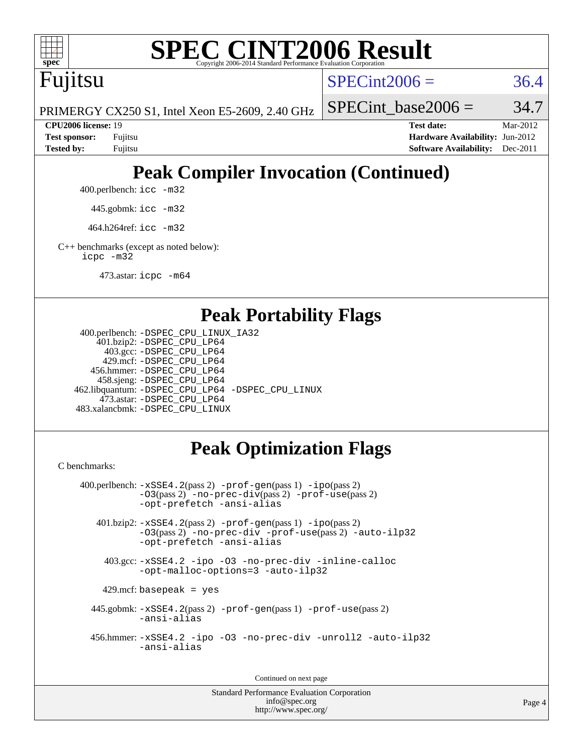

Fujitsu

 $SPECint2006 = 36.4$  $SPECint2006 = 36.4$ 

PRIMERGY CX250 S1, Intel Xeon E5-2609, 2.40 GHz

SPECint base2006 =  $34.7$ 

**[CPU2006 license:](http://www.spec.org/auto/cpu2006/Docs/result-fields.html#CPU2006license)** 19 **[Test date:](http://www.spec.org/auto/cpu2006/Docs/result-fields.html#Testdate)** Mar-2012 **[Test sponsor:](http://www.spec.org/auto/cpu2006/Docs/result-fields.html#Testsponsor)** Fujitsu **[Hardware Availability:](http://www.spec.org/auto/cpu2006/Docs/result-fields.html#HardwareAvailability)** Jun-2012 **[Tested by:](http://www.spec.org/auto/cpu2006/Docs/result-fields.html#Testedby)** Fujitsu **[Software Availability:](http://www.spec.org/auto/cpu2006/Docs/result-fields.html#SoftwareAvailability)** Dec-2011

# **[Peak Compiler Invocation \(Continued\)](http://www.spec.org/auto/cpu2006/Docs/result-fields.html#PeakCompilerInvocation)**

400.perlbench: [icc -m32](http://www.spec.org/cpu2006/results/res2012q3/cpu2006-20120605-22836.flags.html#user_peakCCLD400_perlbench_intel_icc_a6a621f8d50482236b970c6ac5f55f93)

445.gobmk: [icc -m32](http://www.spec.org/cpu2006/results/res2012q3/cpu2006-20120605-22836.flags.html#user_peakCCLD445_gobmk_intel_icc_a6a621f8d50482236b970c6ac5f55f93)

464.h264ref: [icc -m32](http://www.spec.org/cpu2006/results/res2012q3/cpu2006-20120605-22836.flags.html#user_peakCCLD464_h264ref_intel_icc_a6a621f8d50482236b970c6ac5f55f93)

[C++ benchmarks \(except as noted below\):](http://www.spec.org/auto/cpu2006/Docs/result-fields.html#CXXbenchmarksexceptasnotedbelow) [icpc -m32](http://www.spec.org/cpu2006/results/res2012q3/cpu2006-20120605-22836.flags.html#user_CXXpeak_intel_icpc_4e5a5ef1a53fd332b3c49e69c3330699)

473.astar: [icpc -m64](http://www.spec.org/cpu2006/results/res2012q3/cpu2006-20120605-22836.flags.html#user_peakCXXLD473_astar_intel_icpc_64bit_fc66a5337ce925472a5c54ad6a0de310)

#### **[Peak Portability Flags](http://www.spec.org/auto/cpu2006/Docs/result-fields.html#PeakPortabilityFlags)**

```
 400.perlbench: -DSPEC_CPU_LINUX_IA32
    401.bzip2: -DSPEC_CPU_LP64
      403.gcc: -DSPEC_CPU_LP64
     429.mcf: -DSPEC_CPU_LP64
   456.hmmer: -DSPEC_CPU_LP64
    458.sjeng: -DSPEC_CPU_LP64
462.libquantum: -DSPEC_CPU_LP64 -DSPEC_CPU_LINUX
     473.astar: -DSPEC_CPU_LP64
483.xalancbmk: -DSPEC_CPU_LINUX
```
### **[Peak Optimization Flags](http://www.spec.org/auto/cpu2006/Docs/result-fields.html#PeakOptimizationFlags)**

[C benchmarks](http://www.spec.org/auto/cpu2006/Docs/result-fields.html#Cbenchmarks):

```
 400.perlbench: -xSSE4.2(pass 2) -prof-gen(pass 1) -ipo(pass 2)
           -O3(pass 2) -no-prec-div(pass 2) -prof-use(pass 2)
          -opt-prefetch -ansi-alias
   401.bzip2: -xSSE4.2(pass 2) -prof-gen(pass 1) -ipo(pass 2)
           -O3(pass 2) -no-prec-div -prof-use(pass 2) -auto-ilp32
           -opt-prefetch -ansi-alias
    403.gcc: -xSSE4.2 -ipo -O3 -no-prec-div -inline-calloc
           -opt-malloc-options=3 -auto-ilp32
   429.mcf: basepeak = yes
  445.gobmk: -xSSE4.2(pass 2) -prof-gen(pass 1) -prof-use(pass 2)
           -ansi-alias
  456.hmmer: -xSSE4.2 -ipo -O3 -no-prec-div -unroll2 -auto-ilp32
           -ansi-alias
```
Continued on next page

Standard Performance Evaluation Corporation [info@spec.org](mailto:info@spec.org) <http://www.spec.org/>